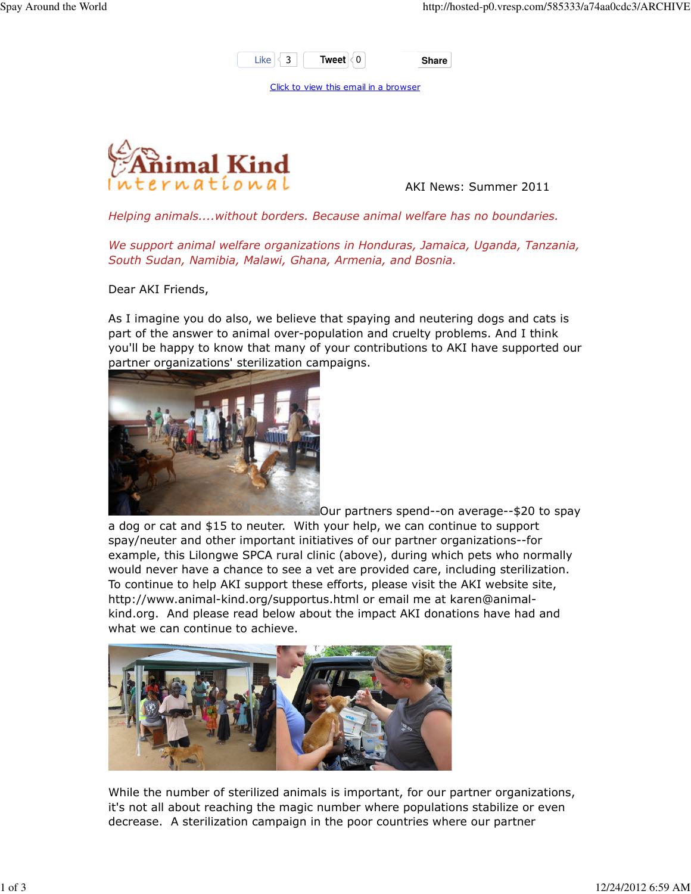

Click to view this email in a browser



AKI News: Summer 2011

Helping animals....without borders. Because animal welfare has no boundaries.

We support animal welfare organizations in Honduras, Jamaica, Uganda, Tanzania, South Sudan, Namibia, Malawi, Ghana, Armenia, and Bosnia.

Dear AKI Friends,

As I imagine you do also, we believe that spaying and neutering dogs and cats is part of the answer to animal over-population and cruelty problems. And I think you'll be happy to know that many of your contributions to AKI have supported our partner organizations' sterilization campaigns.



Our partners spend--on average--\$20 to spay a dog or cat and \$15 to neuter. With your help, we can continue to support spay/neuter and other important initiatives of our partner organizations--for example, this Lilongwe SPCA rural clinic (above), during which pets who normally would never have a chance to see a vet are provided care, including sterilization. To continue to help AKI support these efforts, please visit the AKI website site, http://www.animal-kind.org/supportus.html or email me at karen@animalkind.org. And please read below about the impact AKI donations have had and what we can continue to achieve.



While the number of sterilized animals is important, for our partner organizations, it's not all about reaching the magic number where populations stabilize or even decrease. A sterilization campaign in the poor countries where our partner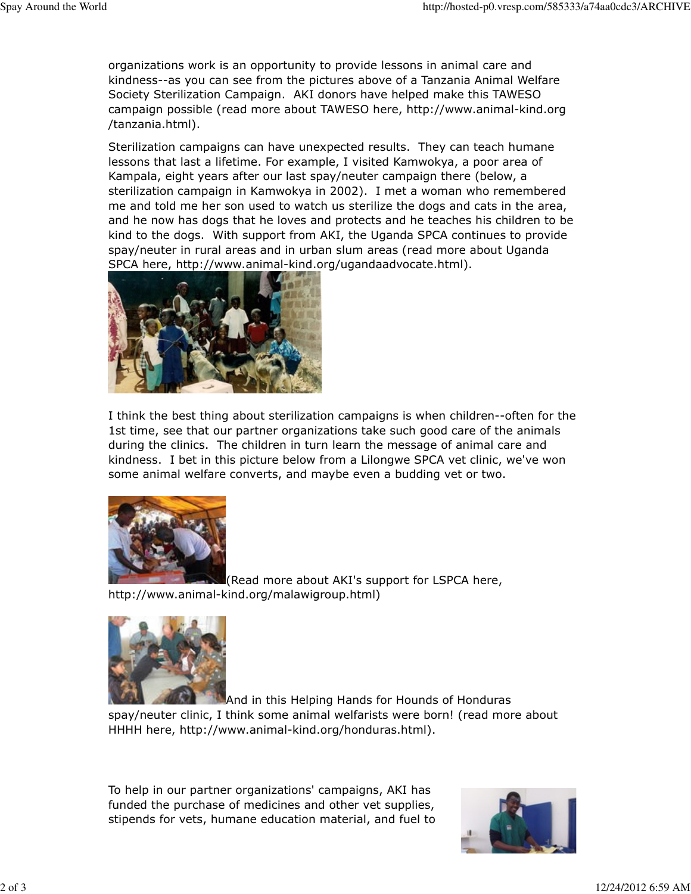organizations work is an opportunity to provide lessons in animal care and kindness--as you can see from the pictures above of a Tanzania Animal Welfare Society Sterilization Campaign. AKI donors have helped make this TAWESO campaign possible (read more about TAWESO here, http://www.animal-kind.org /tanzania.html).

Sterilization campaigns can have unexpected results. They can teach humane lessons that last a lifetime. For example, I visited Kamwokya, a poor area of Kampala, eight years after our last spay/neuter campaign there (below, a sterilization campaign in Kamwokya in 2002). I met a woman who remembered me and told me her son used to watch us sterilize the dogs and cats in the area, and he now has dogs that he loves and protects and he teaches his children to be kind to the dogs. With support from AKI, the Uganda SPCA continues to provide spay/neuter in rural areas and in urban slum areas (read more about Uganda SPCA here, http://www.animal-kind.org/ugandaadvocate.html).



I think the best thing about sterilization campaigns is when children--often for the 1st time, see that our partner organizations take such good care of the animals during the clinics. The children in turn learn the message of animal care and kindness. I bet in this picture below from a Lilongwe SPCA vet clinic, we've won some animal welfare converts, and maybe even a budding vet or two.



(Read more about AKI's support for LSPCA here, http://www.animal-kind.org/malawigroup.html)



And in this Helping Hands for Hounds of Honduras

spay/neuter clinic, I think some animal welfarists were born! (read more about HHHH here, http://www.animal-kind.org/honduras.html).

To help in our partner organizations' campaigns, AKI has funded the purchase of medicines and other vet supplies, stipends for vets, humane education material, and fuel to